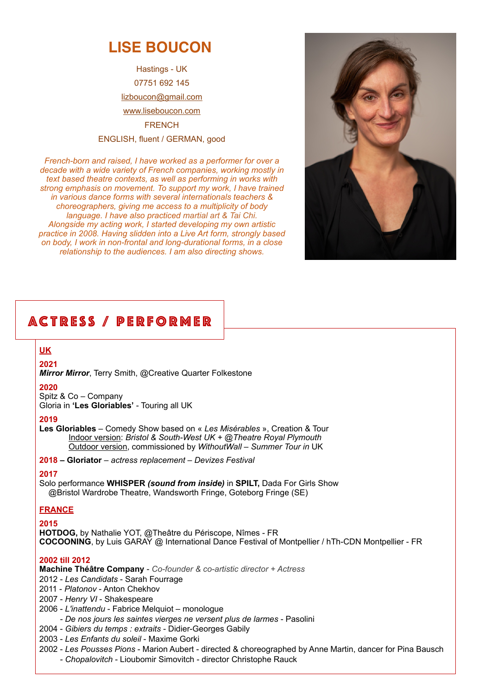# **LISE BOUCON**

Hastings - UK 07751 692 145 lizboucon@gmail.com [www.liseboucon.com](https://liseboucon.com) **FRENCH** ENGLISH, fluent / GERMAN, good

*French-born and raised, I have worked as a performer for over a decade with a wide variety of French companies, working mostly in text based theatre contexts, as well as performing in works with strong emphasis on movement. To support my work, I have trained in various dance forms with several internationals teachers & choreographers, giving me access to a multiplicity of body language. I have also practiced martial art & Tai Chi. Alongside my acting work, I started developing my own artistic practice in 2008. Having slidden into a Live Art form, strongly based on body, I work in non-frontal and long-durational forms, in a close relationship to the audiences. I am also directing shows.*



# ACTRESS / PERFORMER

**UK**

**2021** 

*Mirror Mirror*, Terry Smith, @Creative Quarter Folkestone

#### **2020**

Spitz & Co – Company Gloria in **'Les Gloriables'** - Touring all UK

#### **2019**

**Les Gloriables** – Comedy Show based on « *Les Misérables* », Creation & Tour Indoor version: *Bristol & South-West UK + @Theatre Royal Plymouth* Outdoor version, commissioned by *WithoutWall – Summer Tour in* UK

**2018 – Gloriator** – *actress replacement – Devizes Festival* 

### **2017**

Solo performance **WHISPER** *(sound from inside)* in **SPILT,** Dada For Girls Show @Bristol Wardrobe Theatre, Wandsworth Fringe, Goteborg Fringe (SE)

## **FRANCE**

**2015**

**HOTDOG,** by Nathalie YOT, @Theâtre du Périscope, Nîmes - FR **COCOONING**, by Luis GARAY @ International Dance Festival of Montpellier / hTh-CDN Montpellier - FR

### **2002 till 2012**

**Machine Théâtre Company** - *Co-founder & co-artistic director + Actress*

- 2012 *Les Candidats* Sarah Fourrage
- 2011 *Platonov* Anton Chekhov
- 2007 *Henry VI* Shakespeare
- 2006 *L'inattendu* Fabrice Melquiot monologue
- *De nos jours les saintes vierges ne versent plus de larmes* Pasolini
- 2004 *Gibiers du temps : extraits* Didier-Georges Gabily
- 2003 *Les Enfants du soleil* Maxime Gorki
- 2002 *Les Pousses Pions* Marion Aubert directed & choreographed by Anne Martin, dancer for Pina Bausch  *- Chopalovitch* - Lioubomir Simovitch - director Christophe Rauck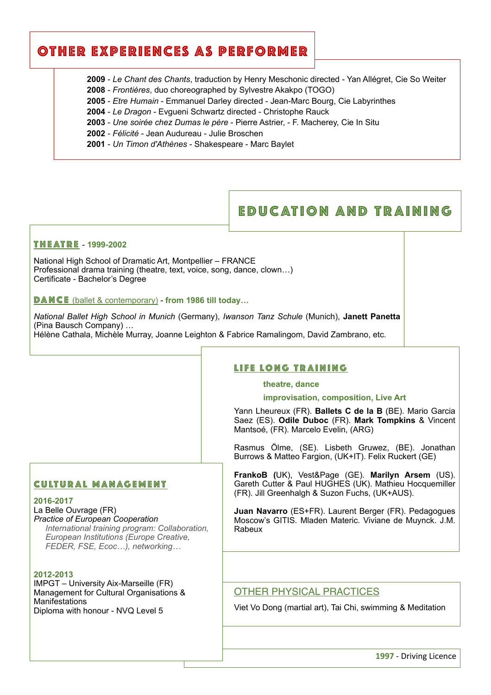# OTHER EXPERIENCES AS PERFORMER

**2009** - *Le Chant des Chants*, traduction by Henry Meschonic directed - Yan Allégret, Cie So Weiter

- **2008** *Frontières*, duo choreographed by Sylvestre Akakpo (TOGO)
- **2005** *Etre Humain* Emmanuel Darley directed Jean-Marc Bourg, Cie Labyrinthes
- **2004** *Le Dragon* Evgueni Schwartz directed Christophe Rauck
- **2003** *Une soirée chez Dumas le père* Pierre Astrier, F. Macherey, Cie In Situ
- **2002** *Félicité* Jean Audureau Julie Broschen
- **2001** *Un Timon d'Athènes* Shakespeare Marc Baylet

## EDUC ATION AND TR AINING

#### THEATRE - **1999-2002**

National High School of Dramatic Art, Montpellier – FRANCE Professional drama training (theatre, text, voice, song, dance, clown…) Certificate - Bachelor's Degree

DANCE (ballet & contemporary) - **from 1986 till today…**

*National Ballet High School in Munich* (Germany), *Iwanson Tanz Schule* (Munich), **Janett Panetta** (Pina Bausch Company) … Hélène Cathala, Michèle Murray, Joanne Leighton & Fabrice Ramalingom, David Zambrano, etc.

#### LIFE LONG TRAINING

#### **theatre, dance**

**improvisation, composition, Live Art**

Yann Lheureux (FR). **Ballets C de la B** (BE). Mario Garcia Saez (ES). **Odile Duboc** (FR). **Mark Tompkins** & Vincent Mantsoé, (FR). Marcelo Evelin, (ARG)

Rasmus Ölme, (SE). Lisbeth Gruwez, (BE). Jonathan Burrows & Matteo Fargion, (UK+IT). Felix Ruckert (GE)

**FrankoB (**UK), Vest&Page (GE). **Marilyn Arsem** (US). Gareth Cutter & Paul HUGHES (UK). Mathieu Hocquemiller (FR). Jill Greenhalgh & Suzon Fuchs, (UK+AUS).

**Juan Navarro** (ES+FR). Laurent Berger (FR). Pedagogues Moscow's GITIS. Mladen Materic. Viviane de Muynck. J.M. Rabeux

## La Belle Ouvrage (FR)

CULTUR AL MANAGEMENT

*Practice of European Cooperation International training program: Collaboration, European Institutions (Europe Creative, FEDER, FSE, Ecoc…), networking…*

#### **2012-2013**

**2016-2017**

IMPGT – University Aix-Marseille (FR) Management for Cultural Organisations & Manifestations Diploma with honour - NVQ Level 5

## OTHER PHYSICAL PRACTICES

Viet Vo Dong (martial art), Tai Chi, swimming & Meditation

**1997** - Driving Licence